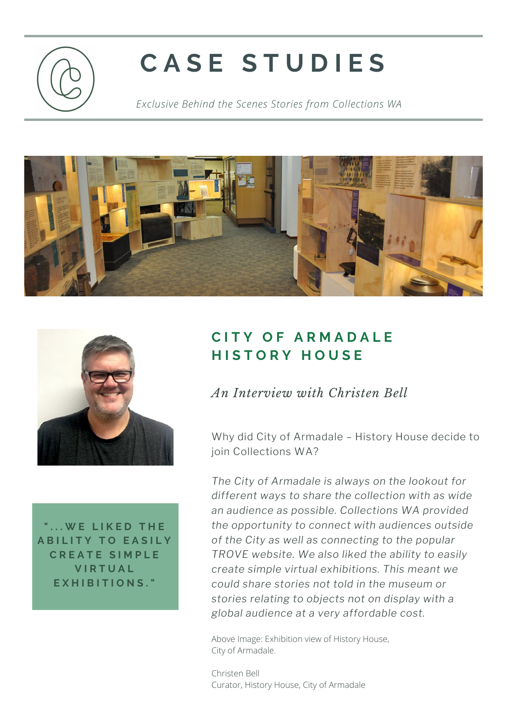

## **C A S E S T U D I E S**

*Exclusive Behind the Scenes Stories from Collections WA*





**" . . . W E L I K E D T H E A B I L I T Y T O E A S I L Y C R E A T E S I M P L E V I R T U A L E X H I B I T I O N S . "**

## **C I T Y O F A R M A D A L E H I S T O R Y H O U S E**

## *An Interview with Christen Bell*

Why did City of Armadale – History House decide to join Collections WA?

*The City of Armadale is always on the lookout for different ways to share the collection with as wide an audience as possible. Collections WA provided the opportunity to connect with audiences outside of the City as well as connecting to the popular TROVE website. We also liked the ability to easily create simple virtual exhibitions. This meant we could share stories not told in the museum or stories relating to objects not on display with a global audience at a very affordable cost.*

Above Image: Exhibition view of History House, City of Armadale.

Christen Bell Curator, History House, City of Armadale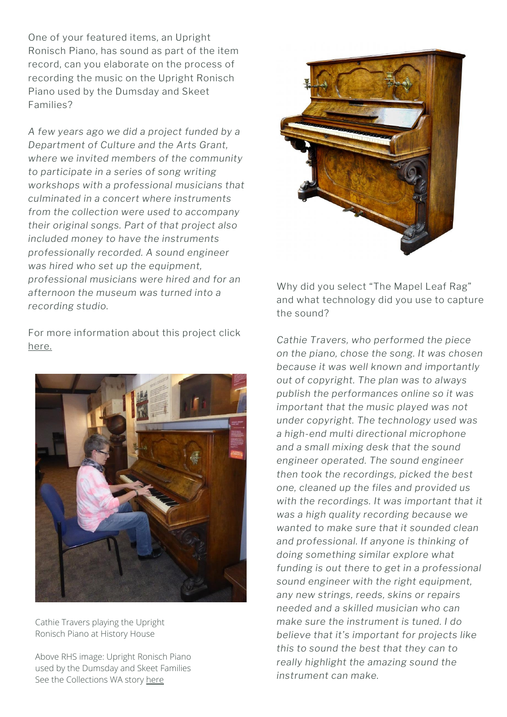One of your featured items, an Upright Ronisch Piano, has sound as part of the item record, can you elaborate on the process of recording the music on the Upright Ronisch Piano used by the Dumsday and Skeet Families?

*A few years ago we did a project funded by a Department of Culture and the Arts Grant, where we invited members of the community to participate in a series of song writing workshops with a professional musicians that culminated in a concert where instruments from the collection were used to accompany their original songs. Part of that project also included money to have the instruments professionally recorded. A sound engineer was hired who set up the equipment, professional musicians were hired and for an afternoon the museum was turned into a recording studio.*

For more information about this project click [here.](https://issuu.com/museumsaustralia/docs/mam_25_1_web/48)



Cathie Travers playing the Upright Ronisch Piano at History House

Above RHS image: Upright Ronisch Piano used by the Dumsday and Skeet Families See the Collections WA story [here](https://collectionswa.net.au/node/39082)



Why did you select "The Mapel Leaf Rag" and what technology did you use to capture the sound?

*Cathie Travers, who performed the piece on the piano, chose the song. It was chosen because it was well known and importantly out of copyright. The plan was to always publish the performances online so it was important that the music played was not under copyright. The technology used was a high-end multi directional microphone and a small mixing desk that the sound engineer operated. The sound engineer then took the recordings, picked the best one, cleaned up the files and provided us with the recordings. It was important that it was a high quality recording because we wanted to make sure that it sounded clean and professional. If anyone is thinking of doing something similar explore what funding is out there to get in a professional sound engineer with the right equipment, any new strings, reeds, skins or repairs needed and a skilled musician who can make sure the instrument is tuned. I do believe that it's important for projects like this to sound the best that they can to really highlight the amazing sound the instrument can make.*